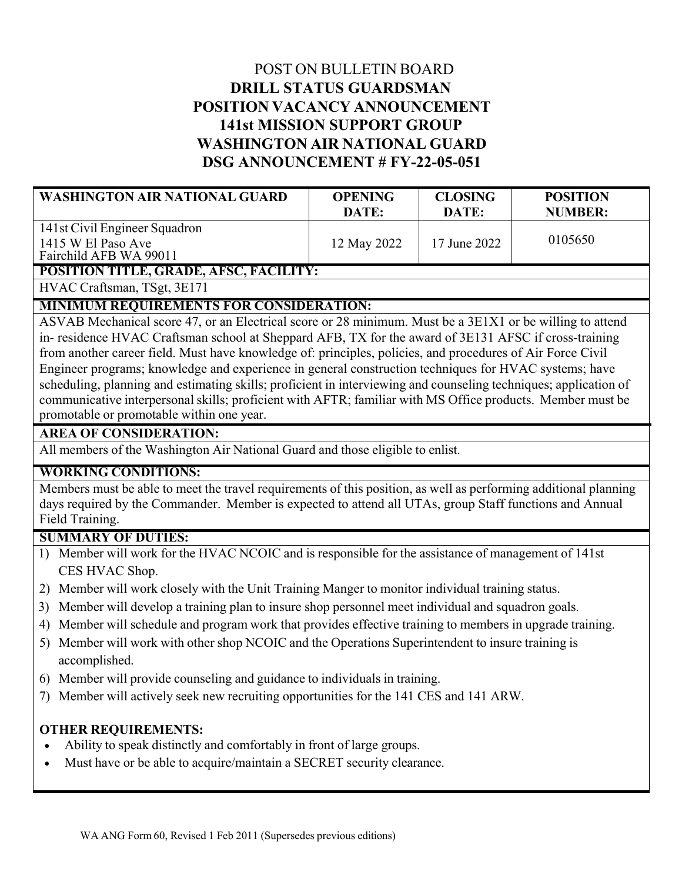# POST ON BULLETIN BOARD **DRILL STATUS GUARDSMAN POSITION VACANCY ANNOUNCEMENT 141st MISSION SUPPORT GROUP WASHINGTON AIR NATIONAL GUARD DSG ANNOUNCEMENT # FY-22-05-051**

| <b>WASHINGTON AIR NATIONAL GUARD</b>                                          | <b>OPENING</b><br>DATE: | <b>CLOSING</b><br>DATE: | <b>POSITION</b><br><b>NUMBER:</b> |
|-------------------------------------------------------------------------------|-------------------------|-------------------------|-----------------------------------|
| 141st Civil Engineer Squadron<br>1415 W El Paso Ave<br>Fairchild AFB WA 99011 | 12 May 2022             | 17 June 2022            | 0105650                           |
| <b>POSITION TITLE, GRADE, AFSC, FACILITY:</b>                                 |                         |                         |                                   |

HVAC Craftsman, TSgt, 3E171

# **MINIMUM REQUIREMENTS FOR CONSIDERATION:**

ASVAB Mechanical score 47, or an Electrical score or 28 minimum. Must be a 3E1X1 or be willing to attend in- residence HVAC Craftsman school at Sheppard AFB, TX for the award of 3E131 AFSC if cross-training from another career field. Must have knowledge of: principles, policies, and procedures of Air Force Civil Engineer programs; knowledge and experience in general construction techniques for HVAC systems; have scheduling, planning and estimating skills; proficient in interviewing and counseling techniques; application of communicative interpersonal skills; proficient with AFTR; familiar with MS Office products. Member must be promotable or promotable within one year.

### **AREA OF CONSIDERATION:**

All members of the Washington Air National Guard and those eligible to enlist.

### **WORKING CONDITIONS:**

Members must be able to meet the travel requirements of this position, as well as performing additional planning days required by the Commander. Member is expected to attend all UTAs, group Staff functions and Annual Field Training.

### **SUMMARY OF DUTIES:**

- 1) Member will work for the HVAC NCOIC and is responsible for the assistance of management of 141st CES HVAC Shop.
- 2) Member will work closely with the Unit Training Manger to monitor individual training status.
- 3) Member will develop a training plan to insure shop personnel meet individual and squadron goals.
- 4) Member will schedule and program work that provides effective training to members in upgrade training.
- 5) Member will work with other shop NCOIC and the Operations Superintendent to insure training is accomplished.
- 6) Member will provide counseling and guidance to individuals in training.
- 7) Member will actively seek new recruiting opportunities for the 141 CES and 141 ARW.

# **OTHER REQUIREMENTS:**

- Ability to speak distinctly and comfortably in front of large groups.
- Must have or be able to acquire/maintain a SECRET security clearance.